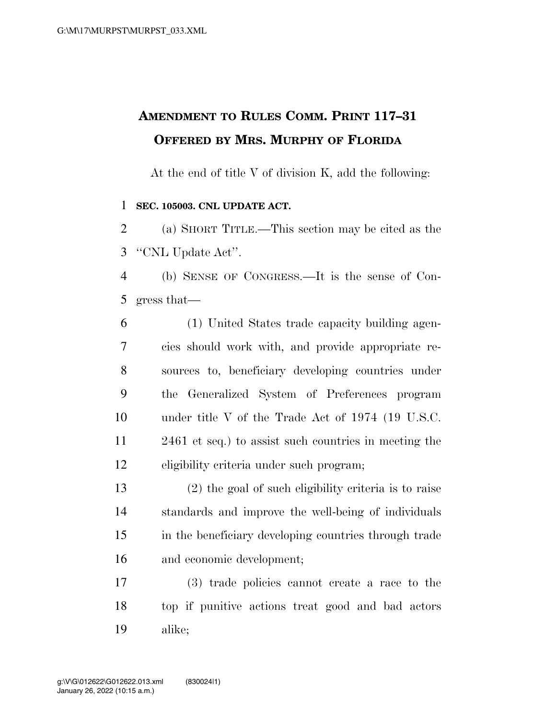## **AMENDMENT TO RULES COMM. PRINT 117–31 OFFERED BY MRS. MURPHY OF FLORIDA**

At the end of title V of division K, add the following:

## **SEC. 105003. CNL UPDATE ACT.**

 (a) SHORT TITLE.—This section may be cited as the ''CNL Update Act''.

 (b) SENSE OF CONGRESS.—It is the sense of Con-gress that—

 (1) United States trade capacity building agen- cies should work with, and provide appropriate re- sources to, beneficiary developing countries under the Generalized System of Preferences program under title V of the Trade Act of 1974 (19 U.S.C. 2461 et seq.) to assist such countries in meeting the eligibility criteria under such program;

 (2) the goal of such eligibility criteria is to raise standards and improve the well-being of individuals in the beneficiary developing countries through trade and economic development;

 (3) trade policies cannot create a race to the top if punitive actions treat good and bad actors alike;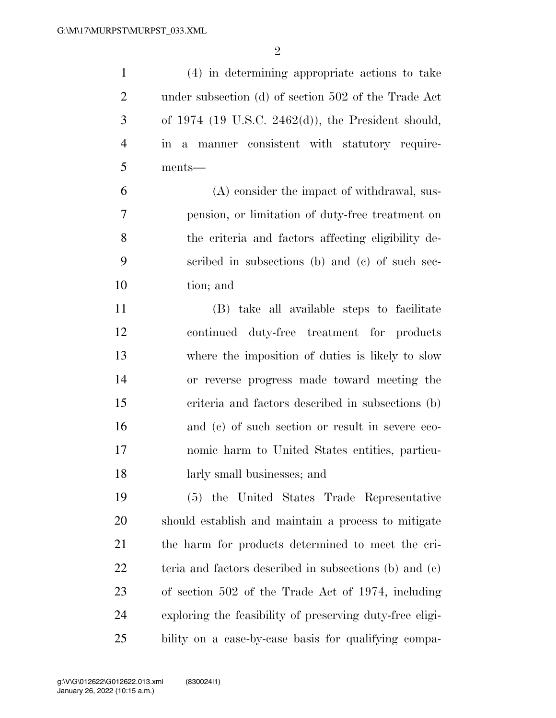(4) in determining appropriate actions to take under subsection (d) of section 502 of the Trade Act of 1974 (19 U.S.C. 2462(d)), the President should, in a manner consistent with statutory require- ments— (A) consider the impact of withdrawal, sus- pension, or limitation of duty-free treatment on the criteria and factors affecting eligibility de- scribed in subsections (b) and (c) of such sec- tion; and (B) take all available steps to facilitate continued duty-free treatment for products where the imposition of duties is likely to slow or reverse progress made toward meeting the criteria and factors described in subsections (b) and (c) of such section or result in severe eco- nomic harm to United States entities, particu- larly small businesses; and (5) the United States Trade Representative should establish and maintain a process to mitigate the harm for products determined to meet the cri- teria and factors described in subsections (b) and (c) of section 502 of the Trade Act of 1974, including exploring the feasibility of preserving duty-free eligi-

bility on a case-by-case basis for qualifying compa-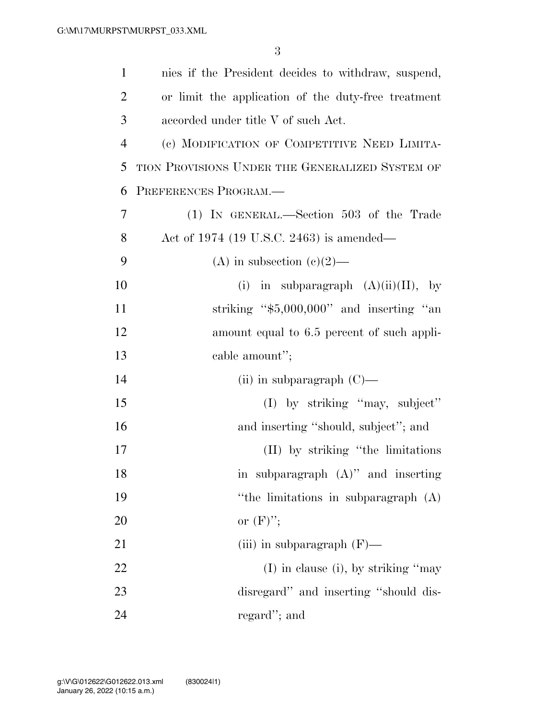| $\mathbf{1}$   | nies if the President decides to withdraw, suspend, |
|----------------|-----------------------------------------------------|
| $\overline{2}$ | or limit the application of the duty-free treatment |
| 3              | accorded under title V of such Act.                 |
| $\overline{4}$ | (c) MODIFICATION OF COMPETITIVE NEED LIMITA-        |
| 5              | TION PROVISIONS UNDER THE GENERALIZED SYSTEM OF     |
| 6              | PREFERENCES PROGRAM.                                |
| $\overline{7}$ | $(1)$ IN GENERAL.—Section 503 of the Trade          |
| 8              | Act of 1974 (19 U.S.C. 2463) is amended—            |
| 9              | (A) in subsection (c)(2)—                           |
| 10             | in subparagraph $(A)(ii)(II)$ , by<br>(i)           |
| 11             | striking " $$5,000,000"$ and inserting "an          |
| 12             | amount equal to 6.5 percent of such appli-          |
| 13             | cable amount";                                      |
| 14             | (ii) in subparagraph $(C)$ —                        |
| 15             | (I) by striking "may, subject"                      |
| 16             | and inserting "should, subject"; and                |
| 17             | (II) by striking "the limitations"                  |
| 18             | in subparagraph $(A)$ " and inserting               |
| 19             | "the limitations in subparagraph (A)                |
| 20             | or $(F)$ ";                                         |
| 21             | (iii) in subparagraph $(F)$ —                       |
| 22             | $(I)$ in clause (i), by striking "may               |
| 23             | disregard" and inserting "should dis-               |
| 24             | regard"; and                                        |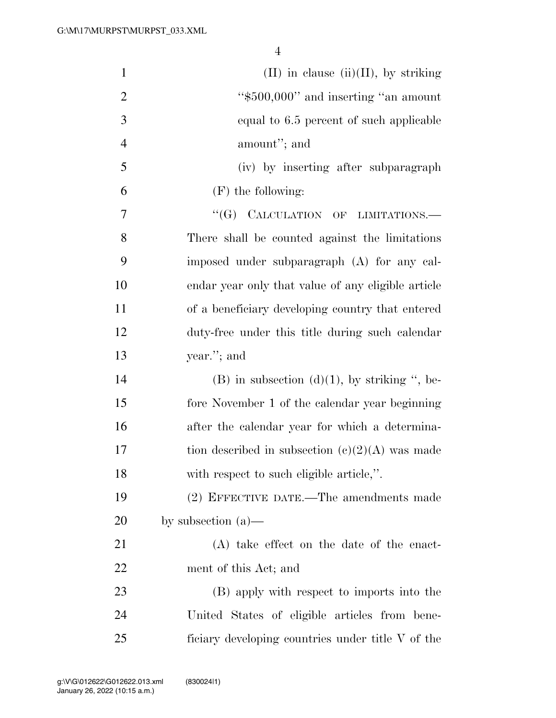| $\mathbf{1}$   | $(II)$ in clause $(ii)(II)$ , by striking           |
|----------------|-----------------------------------------------------|
| $\overline{2}$ | "\$500,000" and inserting "an amount"               |
| 3              | equal to 6.5 percent of such applicable             |
| $\overline{4}$ | amount"; and                                        |
| 5              | (iv) by inserting after subparagraph                |
| 6              | $(F)$ the following:                                |
| 7              | "(G) CALCULATION OF LIMITATIONS.-                   |
| 8              | There shall be counted against the limitations      |
| 9              | imposed under subparagraph (A) for any cal-         |
| 10             | endar year only that value of any eligible article  |
| 11             | of a beneficiary developing country that entered    |
| 12             | duty-free under this title during such calendar     |
| 13             | year."; and                                         |
| 14             | $(B)$ in subsection $(d)(1)$ , by striking ", be-   |
| 15             | fore November 1 of the calendar year beginning      |
| 16             | after the calendar year for which a determina-      |
| 17             | tion described in subsection $(c)(2)(A)$ was made   |
| 18             | with respect to such eligible article,".            |
| 19             | (2) EFFECTIVE DATE.—The amendments made             |
| 20             | by subsection $(a)$ —                               |
| 21             | (A) take effect on the date of the enact-           |
| 22             | ment of this Act; and                               |
| 23             | (B) apply with respect to imports into the          |
| 24             | United States of eligible articles from bene-       |
| 25             | ficiary developing countries under title $V$ of the |